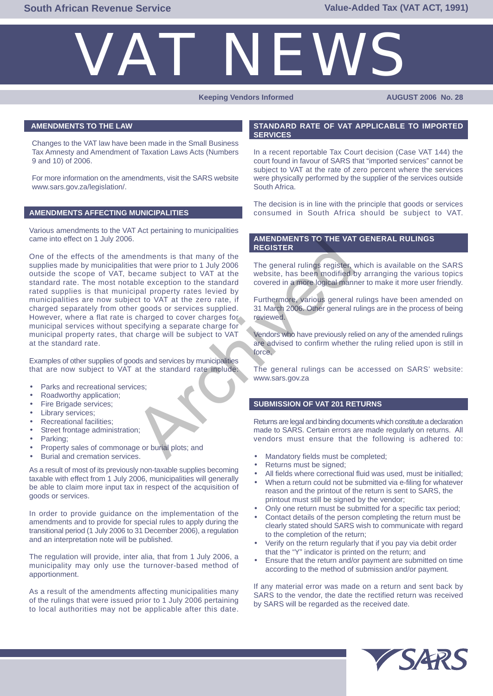

### **Keeping Vendors Informed AUGUST 2006 No. 28**

## **AMENDMENTS TO THE LAW**

Changes to the VAT law have been made in the Small Business Tax Amnesty and Amendment of Taxation Laws Acts (Numbers 9 and 10) of 2006.

For more information on the amendments, visit the SARS website www.sars.gov.za/legislation/.

## **AMENDMENTS AFFECTING MUNICIPALITIES**

Various amendments to the VAT Act pertaining to municipalities came into effect on 1 July 2006.

One of the effects of the amendments is that many of the supplies made by municipalities that were prior to 1 July 2006 outside the scope of VAT, became subject to VAT at the standard rate. The most notable exception to the standard rated supplies is that municipal property rates levied by municipalities are now subject to VAT at the zero rate, if charged separately from other goods or services supplied. However, where a flat rate is charged to cover charges for municipal services without specifying a separate charge for municipal property rates, that charge will be subject to VAT at the standard rate. AMENDMENTS TO THE VAT<br>
endments is that many of the<br>
eccame subject to VAT at the<br>
eccame subject to VAT at the standard<br>
oble exercition to the standard<br>
covered in a more logical mann<br>
changed property rates levied by<br>
c

Examples of other supplies of goods and services by municipalities that are now subject to VAT at the standard rate include:

- Parks and recreational services;
- Roadworthy application;
- Fire Brigade services;
- Library services;
- Recreational facilities;
- Street frontage administration;
- Parking:
- Property sales of commonage or burial plots; and
- Burial and cremation services.

As a result of most of its previously non-taxable supplies becoming taxable with effect from 1 July 2006, municipalities will generally be able to claim more input tax in respect of the acquisition of goods or services.

In order to provide guidance on the implementation of the amendments and to provide for special rules to apply during the transitional period (1 July 2006 to 31 December 2006), a regulation and an interpretation note will be published.

The regulation will provide, inter alia, that from 1 July 2006, a municipality may only use the turnover-based method of apportionment.

As a result of the amendments affecting municipalities many of the rulings that were issued prior to 1 July 2006 pertaining to local authorities may not be applicable after this date.

#### **STANDARD RATE OF VAT APPLICABLE TO IMPORTED SERVICES**

In a recent reportable Tax Court decision (Case VAT 144) the court found in favour of SARS that "imported services" cannot be subject to VAT at the rate of zero percent where the services were physically performed by the supplier of the services outside South Africa.

The decision is in line with the principle that goods or services consumed in South Africa should be subject to VAT.

## **AMENDMENTS TO THE VAT GENERAL RULINGS REGISTER**

The general rulings register, which is available on the SARS website, has been modified by arranging the various topics covered in a more logical manner to make it more user friendly.

Furthermore, various general rulings have been amended on 31 March 2006. Other general rulings are in the process of being reviewed.

Vendors who have previously relied on any of the amended rulings are advised to confirm whether the ruling relied upon is still in force.

The general rulings can be accessed on SARS' website: www.sars.gov.za

## **SUBMISSION OF VAT 201 RETURNS**

Returns are legal and binding documents which constitute a declaration made to SARS. Certain errors are made regularly on returns. All vendors must ensure that the following is adhered to:

- Mandatory fields must be completed;
- Returns must be signed;
- All fields where correctional fluid was used, must be initialled;
- When a return could not be submitted via e-filing for whatever reason and the printout of the return is sent to SARS, the printout must still be signed by the vendor;
- Only one return must be submitted for a specific tax period;
- Contact details of the person completing the return must be clearly stated should SARS wish to communicate with regard to the completion of the return;
- Verify on the return regularly that if you pay via debit order that the "Y" indicator is printed on the return; and
- Ensure that the return and/or payment are submitted on time according to the method of submission and/or payment.

If any material error was made on a return and sent back by SARS to the vendor, the date the rectified return was received by SARS will be regarded as the received date.